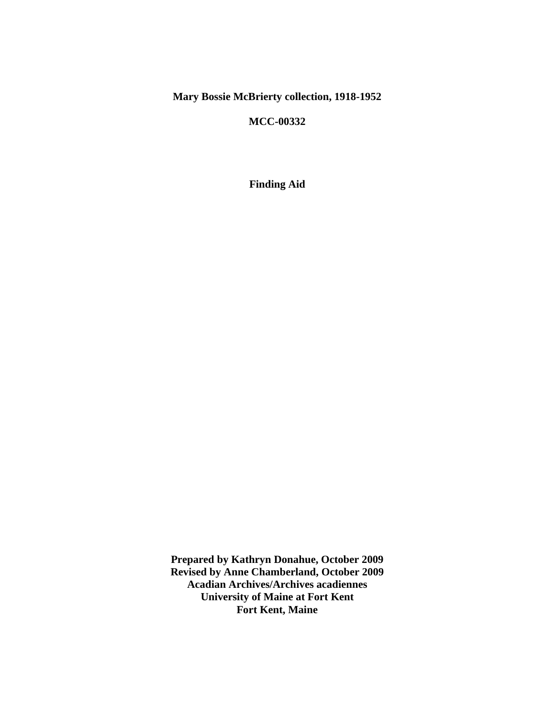**Mary Bossie McBrierty collection, 1918-1952**

**MCC-00332**

**Finding Aid**

**Prepared by Kathryn Donahue, October 2009 Revised by Anne Chamberland, October 2009 Acadian Archives/Archives acadiennes University of Maine at Fort Kent Fort Kent, Maine**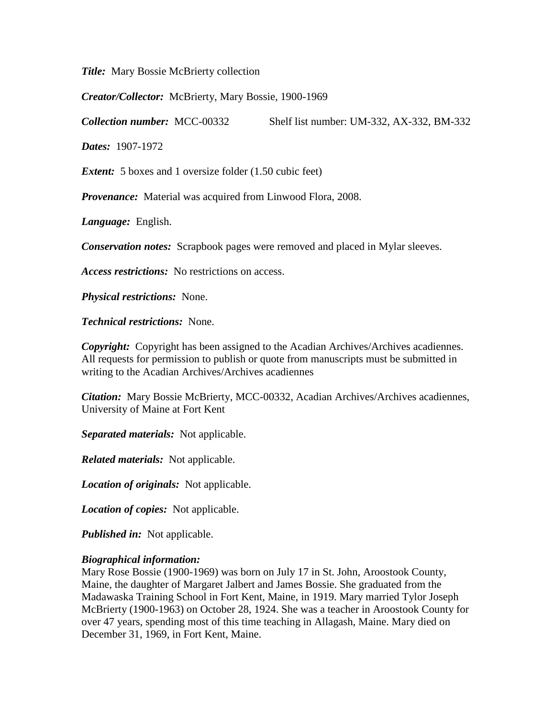*Title:* Mary Bossie McBrierty collection

*Creator/Collector:* McBrierty, Mary Bossie, 1900-1969

*Collection number:* MCC-00332 Shelf list number: UM-332, AX-332, BM-332

*Dates:* 1907-1972

*Extent:* 5 boxes and 1 oversize folder (1.50 cubic feet)

*Provenance:* Material was acquired from Linwood Flora, 2008.

*Language:* English.

*Conservation notes:* Scrapbook pages were removed and placed in Mylar sleeves.

*Access restrictions:* No restrictions on access.

*Physical restrictions:* None.

*Technical restrictions:* None.

*Copyright:* Copyright has been assigned to the Acadian Archives/Archives acadiennes. All requests for permission to publish or quote from manuscripts must be submitted in writing to the Acadian Archives/Archives acadiennes

*Citation:* Mary Bossie McBrierty, MCC-00332, Acadian Archives/Archives acadiennes, University of Maine at Fort Kent

*Separated materials:* Not applicable.

*Related materials:* Not applicable.

*Location of originals:* Not applicable.

*Location of copies:* Not applicable.

*Published in:* Not applicable.

#### *Biographical information:*

Mary Rose Bossie (1900-1969) was born on July 17 in St. John, Aroostook County, Maine, the daughter of Margaret Jalbert and James Bossie. She graduated from the Madawaska Training School in Fort Kent, Maine, in 1919. Mary married Tylor Joseph McBrierty (1900-1963) on October 28, 1924. She was a teacher in Aroostook County for over 47 years, spending most of this time teaching in Allagash, Maine. Mary died on December 31, 1969, in Fort Kent, Maine.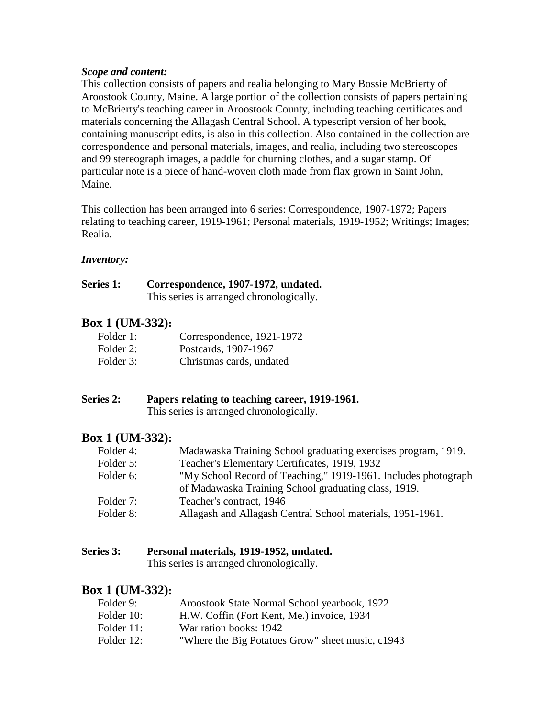#### *Scope and content:*

This collection consists of papers and realia belonging to Mary Bossie McBrierty of Aroostook County, Maine. A large portion of the collection consists of papers pertaining to McBrierty's teaching career in Aroostook County, including teaching certificates and materials concerning the Allagash Central School. A typescript version of her book, containing manuscript edits, is also in this collection. Also contained in the collection are correspondence and personal materials, images, and realia, including two stereoscopes and 99 stereograph images, a paddle for churning clothes, and a sugar stamp. Of particular note is a piece of hand-woven cloth made from flax grown in Saint John, Maine.

This collection has been arranged into 6 series: Correspondence, 1907-1972; Papers relating to teaching career, 1919-1961; Personal materials, 1919-1952; Writings; Images; Realia.

#### *Inventory:*

#### **Series 1: Correspondence, 1907-1972, undated.** This series is arranged chronologically.

# **Box 1 (UM-332):**

| Folder 1: | Correspondence, 1921-1972 |
|-----------|---------------------------|
| Folder 2: | Postcards, 1907-1967      |
| Folder 3: | Christmas cards, undated  |

### **Series 2: Papers relating to teaching career, 1919-1961.**

This series is arranged chronologically.

# **Box 1 (UM-332):**

| Folder 4: | Madawaska Training School graduating exercises program, 1919.  |
|-----------|----------------------------------------------------------------|
| Folder 5: | Teacher's Elementary Certificates, 1919, 1932                  |
| Folder 6: | "My School Record of Teaching," 1919-1961. Includes photograph |
|           | of Madawaska Training School graduating class, 1919.           |
| Folder 7: | Teacher's contract, 1946                                       |
| Folder 8: | Allagash and Allagash Central School materials, 1951-1961.     |

# **Series 3: Personal materials, 1919-1952, undated.**

This series is arranged chronologically.

# **Box 1 (UM-332):**

| Folder 9:  | Aroostook State Normal School yearbook, 1922     |
|------------|--------------------------------------------------|
| Folder 10: | H.W. Coffin (Fort Kent, Me.) invoice, 1934       |
| Folder 11: | War ration books: 1942                           |
| Folder 12: | "Where the Big Potatoes Grow" sheet music, c1943 |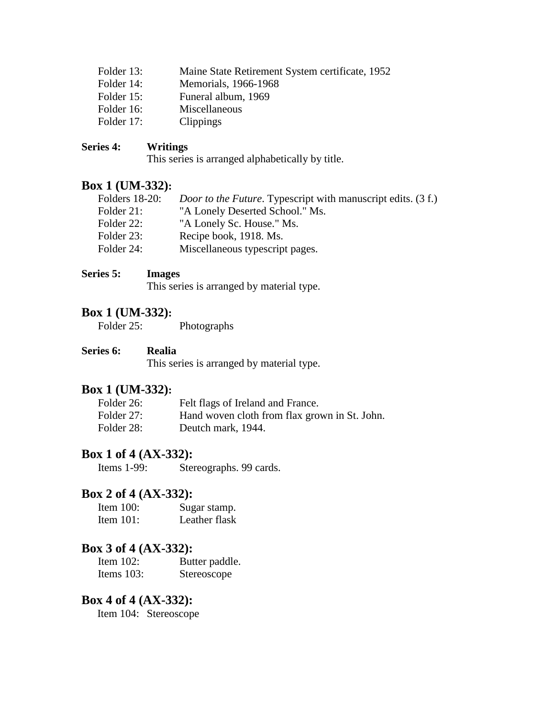| Folder 13: | Maine State Retirement System certificate, 1952 |
|------------|-------------------------------------------------|
| Folder 14: | Memorials, 1966-1968                            |
| Folder 15: | Funeral album, 1969                             |
| Folder 16: | Miscellaneous                                   |
| Folder 17: | <b>Clippings</b>                                |

#### **Series 4: Writings**

This series is arranged alphabetically by title.

## **Box 1 (UM-332):**

| <b>Folders</b> 18-20: | <i>Door to the Future.</i> Typescript with manuscript edits. (3 f.) |
|-----------------------|---------------------------------------------------------------------|
| Folder 21:            | "A Lonely Deserted School." Ms.                                     |
| Folder 22:            | "A Lonely Sc. House." Ms.                                           |
| Folder 23:            | Recipe book, 1918. Ms.                                              |
| Folder 24:            | Miscellaneous typescript pages.                                     |

#### **Series 5: Images**

This series is arranged by material type.

# **Box 1 (UM-332):**<br>Folder 25:

Photographs

#### **Series 6: Realia**

This series is arranged by material type.

## **Box 1 (UM-332):**

| Folder 26: | Felt flags of Ireland and France.             |
|------------|-----------------------------------------------|
| Folder 27: | Hand woven cloth from flax grown in St. John. |
| Folder 28: | Deutch mark, 1944.                            |

### **Box 1 of 4 (AX-332):**

Items 1-99: Stereographs. 99 cards.

# **Box 2 of 4 (AX-332):**

| Item $100$ : | Sugar stamp.  |
|--------------|---------------|
| Item $101$ : | Leather flask |

# **Box 3 of 4 (AX-332):**

Item 102: Butter paddle. Items 103: Stereoscope

# **Box 4 of 4 (AX-332):**<br>Item 104: Stereoscope